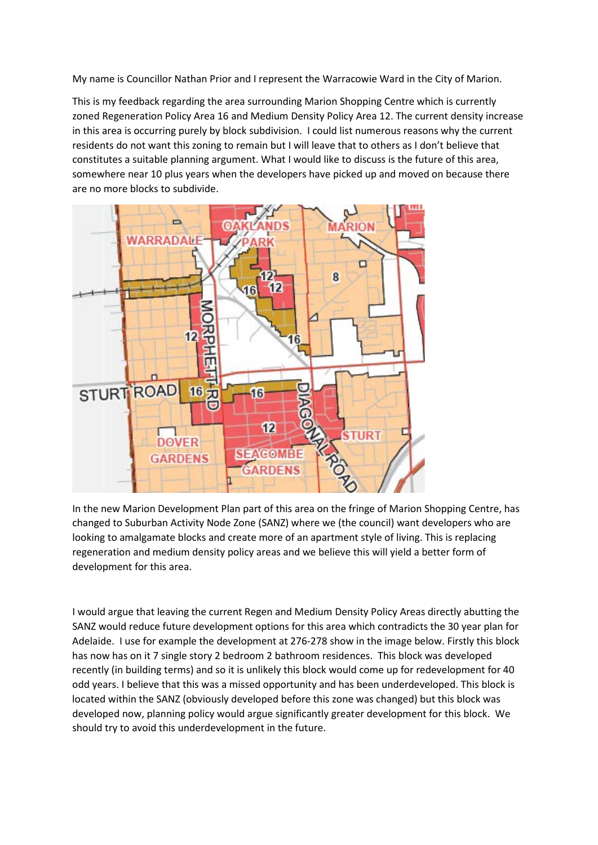My name is Councillor Nathan Prior and I represent the Warracowie Ward in the City of Marion.

This is my feedback regarding the area surrounding Marion Shopping Centre which is currently zoned Regeneration Policy Area 16 and Medium Density Policy Area 12. The current density increase in this area is occurring purely by block subdivision. I could list numerous reasons why the current residents do not want this zoning to remain but I will leave that to others as I don't believe that constitutes a suitable planning argument. What I would like to discuss is the future of this area, somewhere near 10 plus years when the developers have picked up and moved on because there are no more blocks to subdivide.



In the new Marion Development Plan part of this area on the fringe of Marion Shopping Centre, has changed to Suburban Activity Node Zone (SANZ) where we (the council) want developers who are looking to amalgamate blocks and create more of an apartment style of living. This is replacing regeneration and medium density policy areas and we believe this will yield a better form of development for this area.

I would argue that leaving the current Regen and Medium Density Policy Areas directly abutting the SANZ would reduce future development options for this area which contradicts the 30 year plan for Adelaide. I use for example the development at 276-278 show in the image below. Firstly this block has now has on it 7 single story 2 bedroom 2 bathroom residences. This block was developed recently (in building terms) and so it is unlikely this block would come up for redevelopment for 40 odd years. I believe that this was a missed opportunity and has been underdeveloped. This block is located within the SANZ (obviously developed before this zone was changed) but this block was developed now, planning policy would argue significantly greater development for this block. We should try to avoid this underdevelopment in the future.